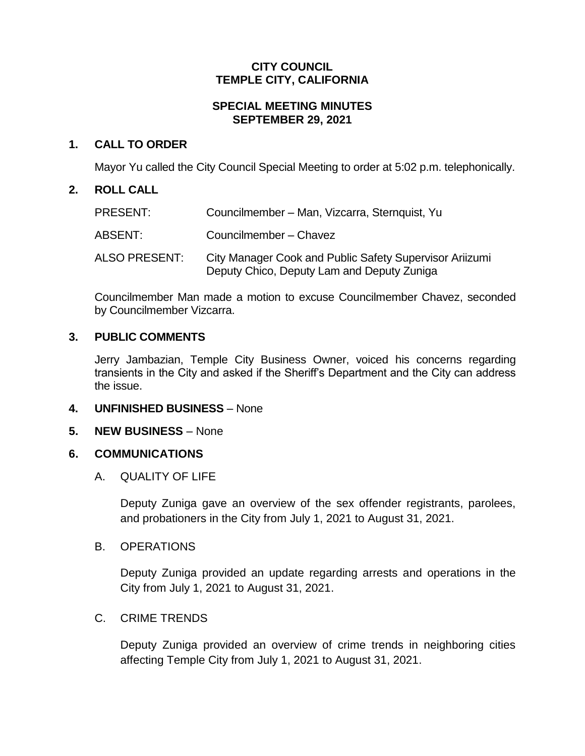# **CITY COUNCIL TEMPLE CITY, CALIFORNIA**

# **SPECIAL MEETING MINUTES SEPTEMBER 29, 2021**

# **1. CALL TO ORDER**

Mayor Yu called the City Council Special Meeting to order at 5:02 p.m. telephonically.

# **2. ROLL CALL**

| PRESENT:      | Councilmember - Man, Vizcarra, Sternquist, Yu                                                         |
|---------------|-------------------------------------------------------------------------------------------------------|
| ABSENT:       | Councilmember - Chavez                                                                                |
| ALSO PRESENT: | City Manager Cook and Public Safety Supervisor Ariizumi<br>Deputy Chico, Deputy Lam and Deputy Zuniga |

Councilmember Man made a motion to excuse Councilmember Chavez, seconded by Councilmember Vizcarra.

# **3. PUBLIC COMMENTS**

Jerry Jambazian, Temple City Business Owner, voiced his concerns regarding transients in the City and asked if the Sheriff's Department and the City can address the issue.

- **4. UNFINISHED BUSINESS** None
- **5. NEW BUSINESS** None

# **6. COMMUNICATIONS**

A. QUALITY OF LIFE

Deputy Zuniga gave an overview of the sex offender registrants, parolees, and probationers in the City from July 1, 2021 to August 31, 2021.

B. OPERATIONS

Deputy Zuniga provided an update regarding arrests and operations in the City from July 1, 2021 to August 31, 2021.

# C. CRIME TRENDS

Deputy Zuniga provided an overview of crime trends in neighboring cities affecting Temple City from July 1, 2021 to August 31, 2021.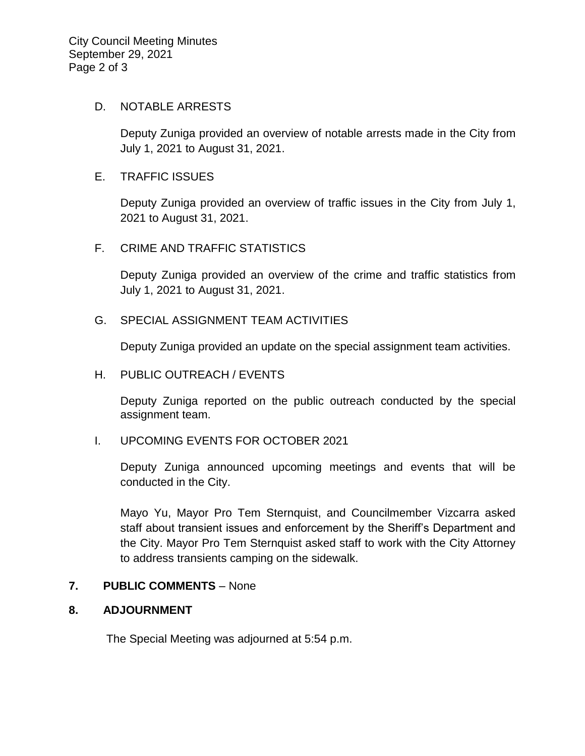#### D. NOTABLE ARRESTS

Deputy Zuniga provided an overview of notable arrests made in the City from July 1, 2021 to August 31, 2021.

#### E. TRAFFIC ISSUES

Deputy Zuniga provided an overview of traffic issues in the City from July 1, 2021 to August 31, 2021.

## F. CRIME AND TRAFFIC STATISTICS

Deputy Zuniga provided an overview of the crime and traffic statistics from July 1, 2021 to August 31, 2021.

#### G. SPECIAL ASSIGNMENT TEAM ACTIVITIES

Deputy Zuniga provided an update on the special assignment team activities.

### H. PUBLIC OUTREACH / EVENTS

Deputy Zuniga reported on the public outreach conducted by the special assignment team.

## I. UPCOMING EVENTS FOR OCTOBER 2021

Deputy Zuniga announced upcoming meetings and events that will be conducted in the City.

Mayo Yu, Mayor Pro Tem Sternquist, and Councilmember Vizcarra asked staff about transient issues and enforcement by the Sheriff's Department and the City. Mayor Pro Tem Sternquist asked staff to work with the City Attorney to address transients camping on the sidewalk.

## **7. PUBLIC COMMENTS** – None

## **8. ADJOURNMENT**

The Special Meeting was adjourned at 5:54 p.m.